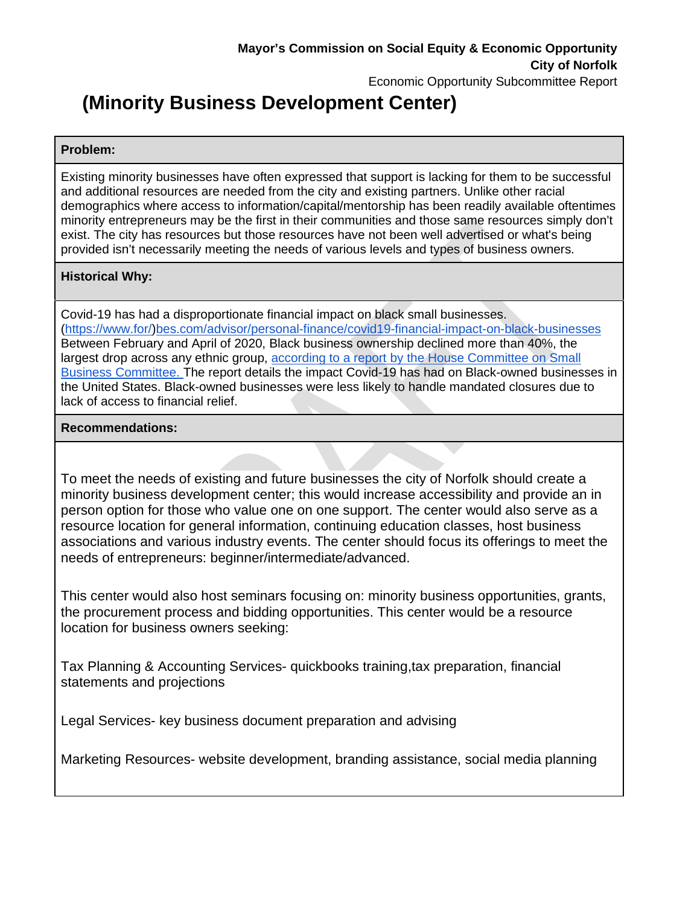# **(Minority Business Development Center)**

#### **Problem:**

Existing minority businesses have often expressed that support is lacking for them to be successful and additional resources are needed from the city and existing partners. Unlike other racial demographics where access to information/capital/mentorship has been readily available oftentimes minority entrepreneurs may be the first in their communities and those same resources simply don't exist. The city has resources but those resources have not been well advertised or what's being provided isn't necessarily meeting the needs of various levels and types of business owners.

## **Historical Why:**

Covid-19 has had a disproportionate financial impact on black small businesses. (https://www.for/)bes.com/advisor/personal-finance/covid19-financial-impact-on-black-businesses Between February and April of 2020, Black business ownership declined more than 40%, the largest drop across any ethnic group, according to a report by the House Committee on Small Business Committee. The report details the impact Covid-19 has had on Black-owned businesses in the United States. Black-owned businesses were less likely to handle mandated closures due to lack of access to financial relief.

## **Recommendations:**

To meet the needs of existing and future businesses the city of Norfolk should create a minority business development center; this would increase accessibility and provide an in person option for those who value one on one support. The center would also serve as a resource location for general information, continuing education classes, host business associations and various industry events. The center should focus its offerings to meet the needs of entrepreneurs: beginner/intermediate/advanced.

This center would also host seminars focusing on: minority business opportunities, grants, the procurement process and bidding opportunities. This center would be a resource location for business owners seeking:

Tax Planning & Accounting Services- quickbooks training,tax preparation, financial statements and projections

Legal Services- key business document preparation and advising

Marketing Resources- website development, branding assistance, social media planning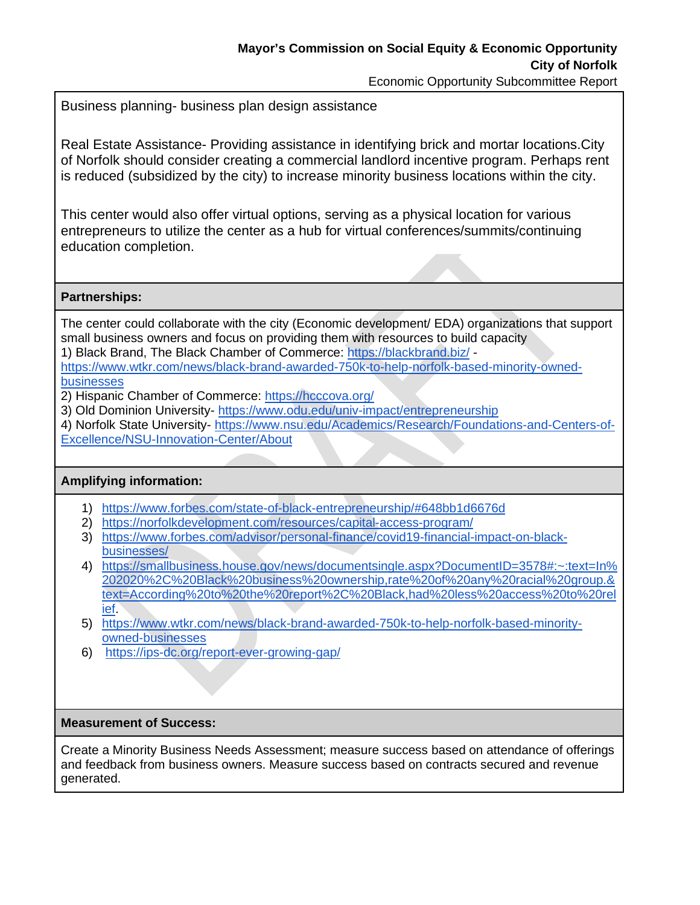Business planning- business plan design assistance

Real Estate Assistance- Providing assistance in identifying brick and mortar locations.City of Norfolk should consider creating a commercial landlord incentive program. Perhaps rent is reduced (subsidized by the city) to increase minority business locations within the city.

This center would also offer virtual options, serving as a physical location for various entrepreneurs to utilize the center as a hub for virtual conferences/summits/continuing education completion.

### **Partnerships:**

The center could collaborate with the city (Economic development/ EDA) organizations that support small business owners and focus on providing them with resources to build capacity 1) Black Brand, The Black Chamber of Commerce: https://blackbrand.biz/ -

https://www.wtkr.com/news/black-brand-awarded-750k-to-help-norfolk-based-minority-ownedbusinesses

- 2) Hispanic Chamber of Commerce: https://hcccova.org/
- 3) Old Dominion University- https://www.odu.edu/univ-impact/entrepreneurship

4) Norfolk State University- https://www.nsu.edu/Academics/Research/Foundations-and-Centers-of-Excellence/NSU-Innovation-Center/About

#### **Amplifying information:**

- 1) https://www.forbes.com/state-of-black-entrepreneurship/#648bb1d6676d
- 2) https://norfolkdevelopment.com/resources/capital-access-program/
- 3) https://www.forbes.com/advisor/personal-finance/covid19-financial-impact-on-blackbusinesses/
- 4) https://smallbusiness.house.gov/news/documentsingle.aspx?DocumentID=3578#:~:text=In% 202020%2C%20Black%20business%20ownership,rate%20of%20any%20racial%20group.& text=According%20to%20the%20report%2C%20Black,had%20less%20access%20to%20rel ief.
- 5) https://www.wtkr.com/news/black-brand-awarded-750k-to-help-norfolk-based-minorityowned-businesses
- 6) https://ips-dc.org/report-ever-growing-gap/

#### **Measurement of Success:**

Create a Minority Business Needs Assessment; measure success based on attendance of offerings and feedback from business owners. Measure success based on contracts secured and revenue generated.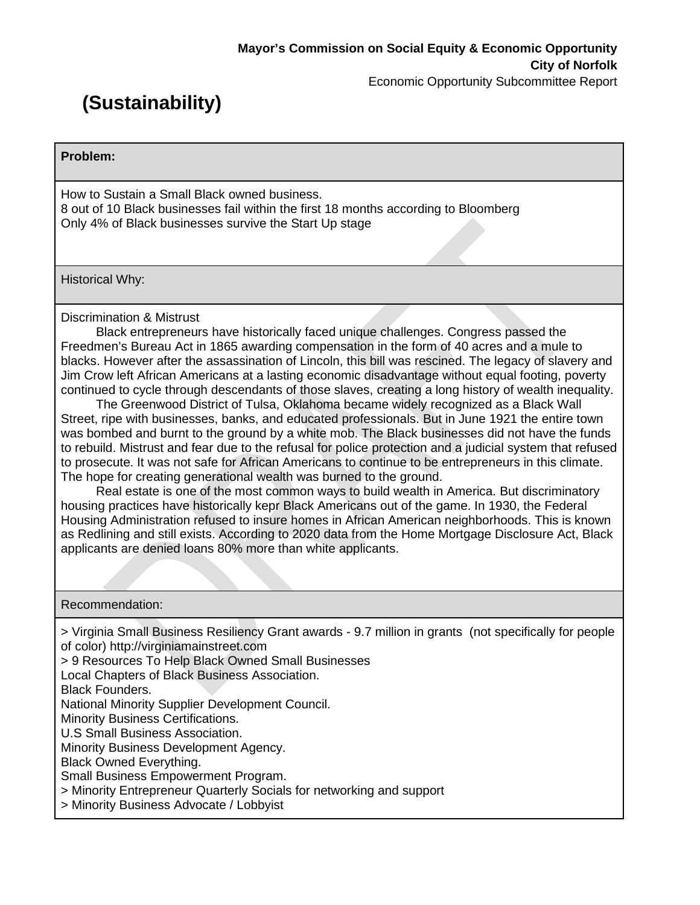# **(Sustainability)**

**Problem:** 

How to Sustain a Small Black owned business. 8 out of 10 Black businesses fail within the first 18 months according to Bloomberg Only 4% of Black businesses survive the Start Up stage

Historical Why:

Discrimination & Mistrust

 Black entrepreneurs have historically faced unique challenges. Congress passed the Freedmen's Bureau Act in 1865 awarding compensation in the form of 40 acres and a mule to blacks. However after the assassination of Lincoln, this bill was rescined. The legacy of slavery and Jim Crow left African Americans at a lasting economic disadvantage without equal footing, poverty continued to cycle through descendants of those slaves, creating a long history of wealth inequality.

 The Greenwood District of Tulsa, Oklahoma became widely recognized as a Black Wall Street, ripe with businesses, banks, and educated professionals. But in June 1921 the entire town was bombed and burnt to the ground by a white mob. The Black businesses did not have the funds to rebuild. Mistrust and fear due to the refusal for police protection and a judicial system that refused to prosecute. It was not safe for African Americans to continue to be entrepreneurs in this climate. The hope for creating generational wealth was burned to the ground.

 Real estate is one of the most common ways to build wealth in America. But discriminatory housing practices have historically kepr Black Americans out of the game. In 1930, the Federal Housing Administration refused to insure homes in African American neighborhoods. This is known as Redlining and still exists. According to 2020 data from the Home Mortgage Disclosure Act, Black applicants are denied loans 80% more than white applicants.

#### Recommendation:

> Virginia Small Business Resiliency Grant awards - 9.7 million in grants (not specifically for people of color) http://virginiamainstreet.com

> 9 Resources To Help Black Owned Small Businesses

Local Chapters of Black Business Association.

Black Founders.

National Minority Supplier Development Council.

Minority Business Certifications.

U.S Small Business Association.

Minority Business Development Agency.

Black Owned Everything.

Small Business Empowerment Program.

> Minority Entrepreneur Quarterly Socials for networking and support

> Minority Business Advocate / Lobbyist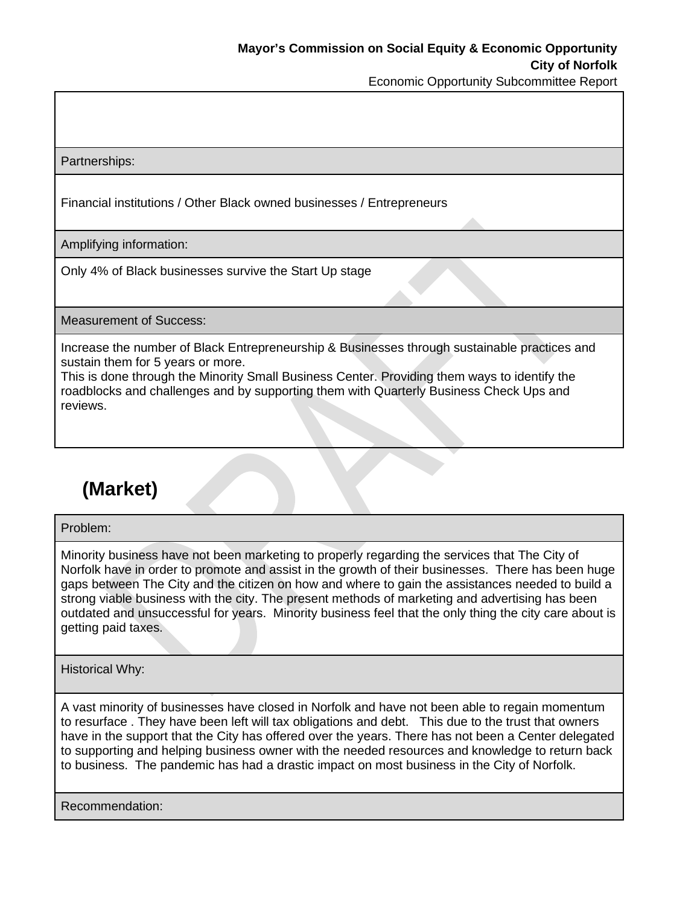Partnerships:

Financial institutions / Other Black owned businesses / Entrepreneurs

Amplifying information:

Only 4% of Black businesses survive the Start Up stage

Measurement of Success:

Increase the number of Black Entrepreneurship & Businesses through sustainable practices and sustain them for 5 years or more.

This is done through the Minority Small Business Center. Providing them ways to identify the roadblocks and challenges and by supporting them with Quarterly Business Check Ups and reviews.

# **(Market)**

Problem:

Minority business have not been marketing to properly regarding the services that The City of Norfolk have in order to promote and assist in the growth of their businesses. There has been huge gaps between The City and the citizen on how and where to gain the assistances needed to build a strong viable business with the city. The present methods of marketing and advertising has been outdated and unsuccessful for years. Minority business feel that the only thing the city care about is getting paid taxes.

Historical Why:

A vast minority of businesses have closed in Norfolk and have not been able to regain momentum to resurface . They have been left will tax obligations and debt. This due to the trust that owners have in the support that the City has offered over the years. There has not been a Center delegated to supporting and helping business owner with the needed resources and knowledge to return back to business. The pandemic has had a drastic impact on most business in the City of Norfolk.

Recommendation: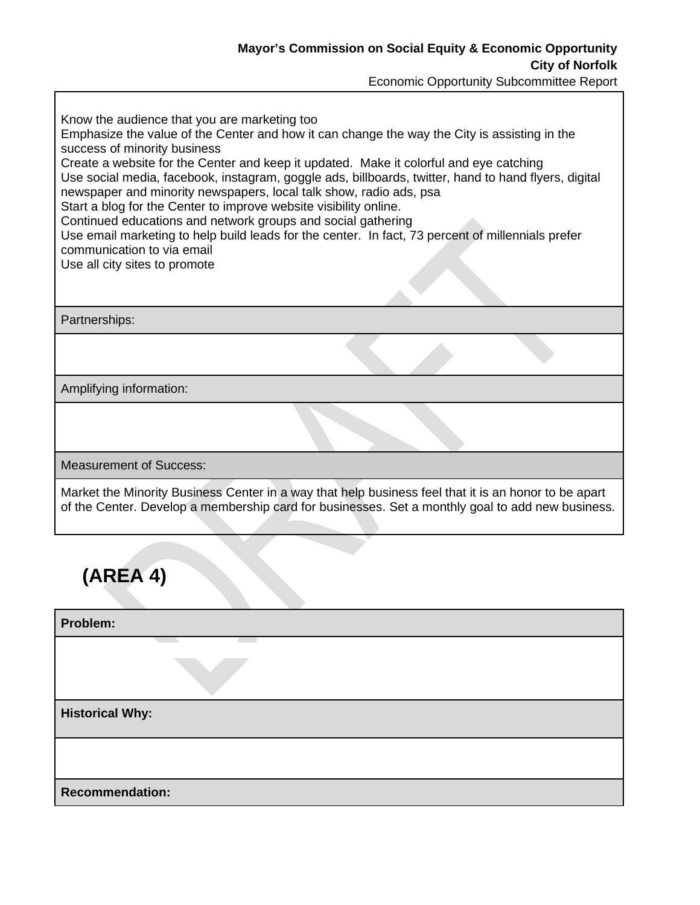| Know the audience that you are marketing too<br>Emphasize the value of the Center and how it can change the way the City is assisting in the<br>success of minority business<br>Create a website for the Center and keep it updated. Make it colorful and eye catching<br>Use social media, facebook, instagram, goggle ads, billboards, twitter, hand to hand flyers, digital<br>newspaper and minority newspapers, local talk show, radio ads, psa<br>Start a blog for the Center to improve website visibility online.<br>Continued educations and network groups and social gathering<br>Use email marketing to help build leads for the center. In fact, 73 percent of millennials prefer<br>communication to via email<br>Use all city sites to promote |  |
|---------------------------------------------------------------------------------------------------------------------------------------------------------------------------------------------------------------------------------------------------------------------------------------------------------------------------------------------------------------------------------------------------------------------------------------------------------------------------------------------------------------------------------------------------------------------------------------------------------------------------------------------------------------------------------------------------------------------------------------------------------------|--|
| Partnerships:                                                                                                                                                                                                                                                                                                                                                                                                                                                                                                                                                                                                                                                                                                                                                 |  |
|                                                                                                                                                                                                                                                                                                                                                                                                                                                                                                                                                                                                                                                                                                                                                               |  |
| Amplifying information:                                                                                                                                                                                                                                                                                                                                                                                                                                                                                                                                                                                                                                                                                                                                       |  |
|                                                                                                                                                                                                                                                                                                                                                                                                                                                                                                                                                                                                                                                                                                                                                               |  |
| <b>Measurement of Success:</b>                                                                                                                                                                                                                                                                                                                                                                                                                                                                                                                                                                                                                                                                                                                                |  |
| Market the Minority Business Center in a way that help business feel that it is an honor to be apart<br>of the Center. Develop a membership card for businesses. Set a monthly goal to add new business.                                                                                                                                                                                                                                                                                                                                                                                                                                                                                                                                                      |  |
| (AREA 4)                                                                                                                                                                                                                                                                                                                                                                                                                                                                                                                                                                                                                                                                                                                                                      |  |

| Problem:               |  |
|------------------------|--|
|                        |  |
| <b>Historical Why:</b> |  |
|                        |  |
| <b>Recommendation:</b> |  |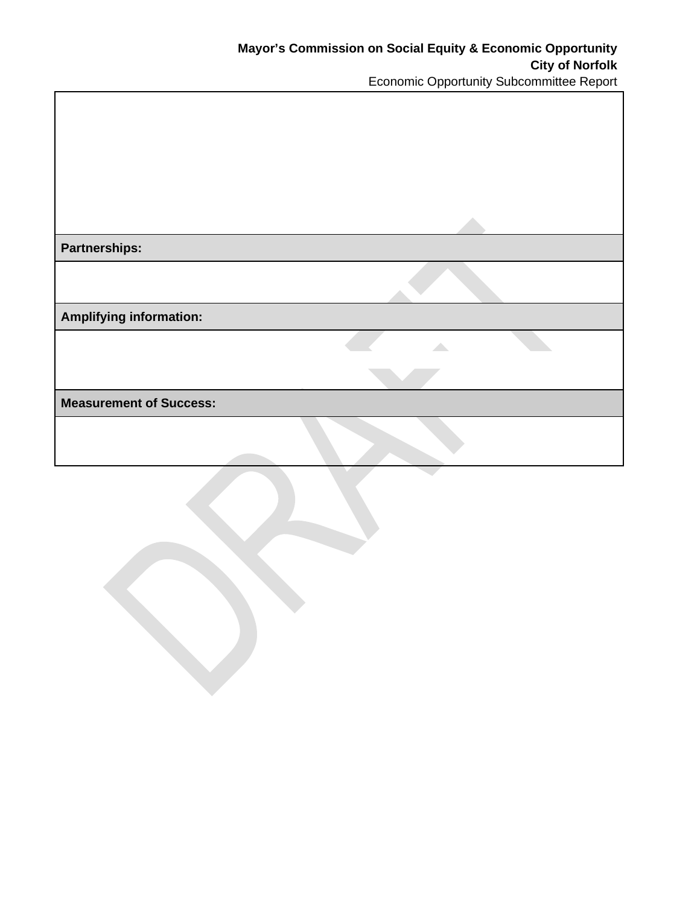| <b>Partnerships:</b>           |  |
|--------------------------------|--|
|                                |  |
| <b>Amplifying information:</b> |  |
|                                |  |
|                                |  |
| <b>Measurement of Success:</b> |  |
|                                |  |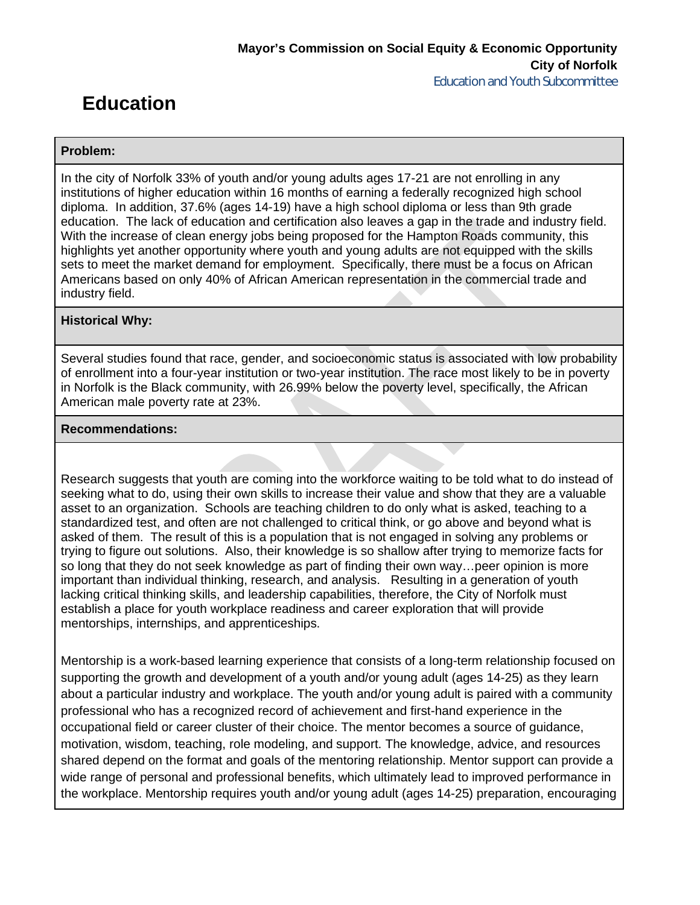## **Education**

#### **Problem:**

In the city of Norfolk 33% of youth and/or young adults ages 17-21 are not enrolling in any institutions of higher education within 16 months of earning a federally recognized high school diploma. In addition, 37.6% (ages 14-19) have a high school diploma or less than 9th grade education. The lack of education and certification also leaves a gap in the trade and industry field. With the increase of clean energy jobs being proposed for the Hampton Roads community, this highlights yet another opportunity where youth and young adults are not equipped with the skills sets to meet the market demand for employment. Specifically, there must be a focus on African Americans based on only 40% of African American representation in the commercial trade and industry field.

#### **Historical Why:**

Several studies found that race, gender, and socioeconomic status is associated with low probability of enrollment into a four-year institution or two-year institution. The race most likely to be in poverty in Norfolk is the Black community, with 26.99% below the poverty level, specifically, the African American male poverty rate at 23%.

#### **Recommendations:**

Research suggests that youth are coming into the workforce waiting to be told what to do instead of seeking what to do, using their own skills to increase their value and show that they are a valuable asset to an organization. Schools are teaching children to do only what is asked, teaching to a standardized test, and often are not challenged to critical think, or go above and beyond what is asked of them. The result of this is a population that is not engaged in solving any problems or trying to figure out solutions. Also, their knowledge is so shallow after trying to memorize facts for so long that they do not seek knowledge as part of finding their own way…peer opinion is more important than individual thinking, research, and analysis. Resulting in a generation of youth lacking critical thinking skills, and leadership capabilities, therefore, the City of Norfolk must establish a place for youth workplace readiness and career exploration that will provide mentorships, internships, and apprenticeships.

Mentorship is a work-based learning experience that consists of a long-term relationship focused on supporting the growth and development of a youth and/or young adult (ages 14-25) as they learn about a particular industry and workplace. The youth and/or young adult is paired with a community professional who has a recognized record of achievement and first-hand experience in the occupational field or career cluster of their choice. The mentor becomes a source of guidance, motivation, wisdom, teaching, role modeling, and support. The knowledge, advice, and resources shared depend on the format and goals of the mentoring relationship. Mentor support can provide a wide range of personal and professional benefits, which ultimately lead to improved performance in the workplace. Mentorship requires youth and/or young adult (ages 14-25) preparation, encouraging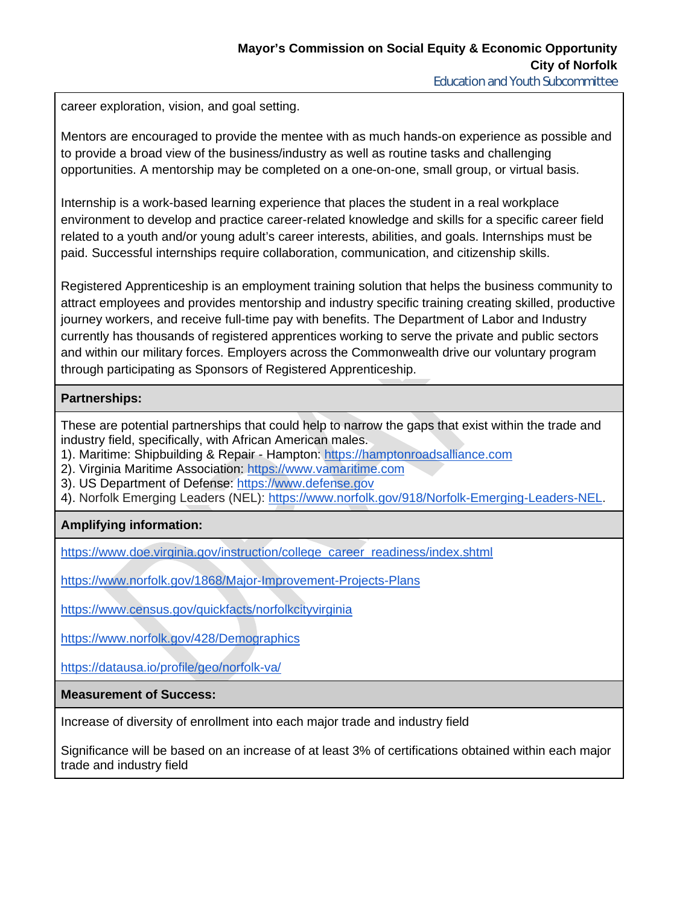Education and Youth Subcommittee

career exploration, vision, and goal setting.

Mentors are encouraged to provide the mentee with as much hands-on experience as possible and to provide a broad view of the business/industry as well as routine tasks and challenging opportunities. A mentorship may be completed on a one-on-one, small group, or virtual basis.

Internship is a work-based learning experience that places the student in a real workplace environment to develop and practice career-related knowledge and skills for a specific career field related to a youth and/or young adult's career interests, abilities, and goals. Internships must be paid. Successful internships require collaboration, communication, and citizenship skills.

Registered Apprenticeship is an employment training solution that helps the business community to attract employees and provides mentorship and industry specific training creating skilled, productive journey workers, and receive full-time pay with benefits. The Department of Labor and Industry currently has thousands of registered apprentices working to serve the private and public sectors and within our military forces. Employers across the Commonwealth drive our voluntary program through participating as Sponsors of Registered Apprenticeship.

### **Partnerships:**

These are potential partnerships that could help to narrow the gaps that exist within the trade and industry field, specifically, with African American males.

- 1). Maritime: Shipbuilding & Repair Hampton: https://hamptonroadsalliance.com
- 2). Virginia Maritime Association: https://www.vamaritime.com
- 3). US Department of Defense: https://www.defense.gov
- 4). Norfolk Emerging Leaders (NEL): https://www.norfolk.gov/918/Norfolk-Emerging-Leaders-NEL.

## **Amplifying information:**

https://www.doe.virginia.gov/instruction/college\_career\_readiness/index.shtml

https://www.norfolk.gov/1868/Major-Improvement-Projects-Plans

https://www.census.gov/quickfacts/norfolkcityvirginia

https://www.norfolk.gov/428/Demographics

https://datausa.io/profile/geo/norfolk-va/

**Measurement of Success:**

Increase of diversity of enrollment into each major trade and industry field

Significance will be based on an increase of at least 3% of certifications obtained within each major trade and industry field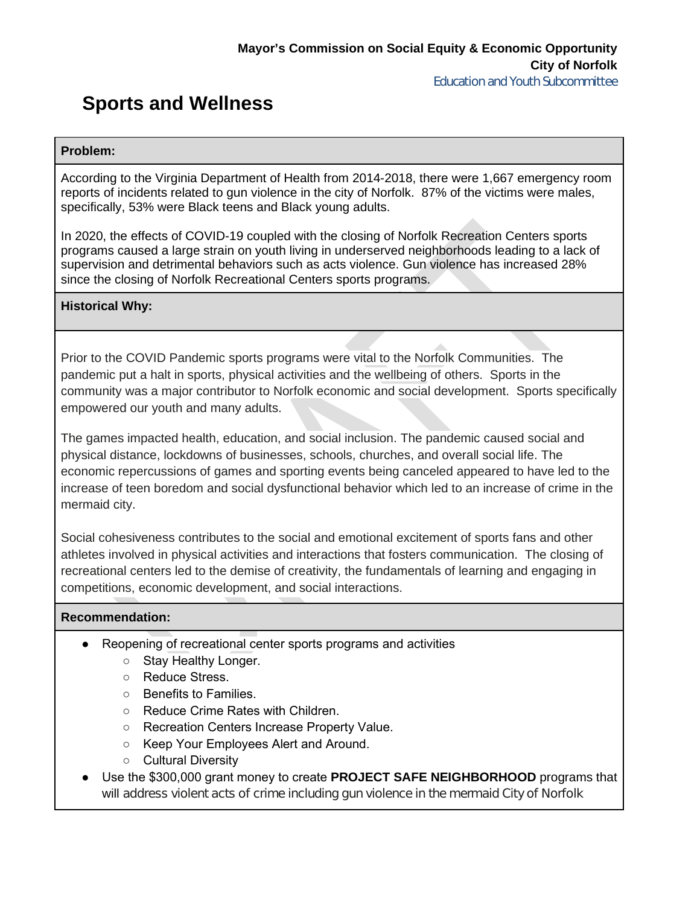## **Sports and Wellness**

#### **Problem:**

According to the Virginia Department of Health from 2014-2018, there were 1,667 emergency room reports of incidents related to gun violence in the city of Norfolk. 87% of the victims were males, specifically, 53% were Black teens and Black young adults.

In 2020, the effects of COVID-19 coupled with the closing of Norfolk Recreation Centers sports programs caused a large strain on youth living in underserved neighborhoods leading to a lack of supervision and detrimental behaviors such as acts violence. Gun violence has increased 28% since the closing of Norfolk Recreational Centers sports programs.

### **Historical Why:**

Prior to the COVID Pandemic sports programs were vital to the Norfolk Communities. The pandemic put a halt in sports, physical activities and the wellbeing of others. Sports in the community was a major contributor to Norfolk economic and social development. Sports specifically empowered our youth and many adults.

The games impacted health, education, and social inclusion. The pandemic caused social and physical distance, lockdowns of businesses, schools, churches, and overall social life. The economic repercussions of games and sporting events being canceled appeared to have led to the increase of teen boredom and social dysfunctional behavior which led to an increase of crime in the mermaid city.

Social cohesiveness contributes to the social and emotional excitement of sports fans and other athletes involved in physical activities and interactions that fosters communication. The closing of recreational centers led to the demise of creativity, the fundamentals of learning and engaging in competitions, economic development, and social interactions.

#### **Recommendation:**

- Reopening of recreational center sports programs and activities
	- Stay Healthy Longer.
	- Reduce Stress.
	- Benefits to Families.
	- Reduce Crime Rates with Children.
	- Recreation Centers Increase Property Value.
	- Keep Your Employees Alert and Around.
	- Cultural Diversity
- Use the \$300,000 grant money to create **PROJECT SAFE NEIGHBORHOOD** programs that will address violent acts of crime including gun violence in the mermaid City of Norfolk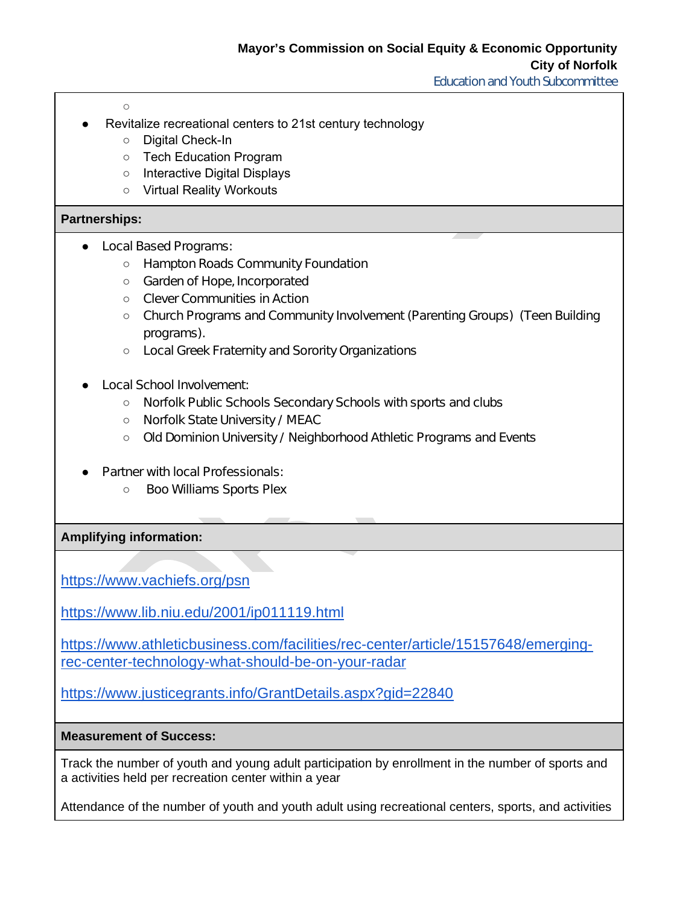Education and Youth Subcommittee

 $\overline{O}$ 

- Revitalize recreational centers to 21st century technology
	- Digital Check-In
	- Tech Education Program
	- Interactive Digital Displays
	- Virtual Reality Workouts

#### **Partnerships:**

- Local Based Programs:
	- Hampton Roads Community Foundation
	- Garden of Hope, Incorporated
	- Clever Communities in Action
	- Church Programs and Community Involvement (Parenting Groups) (Teen Building programs).
	- Local Greek Fraternity and Sorority Organizations
- Local School Involvement:
	- Norfolk Public Schools Secondary Schools with sports and clubs
	- Norfolk State University / MEAC
	- Old Dominion University / Neighborhood Athletic Programs and Events
- **Partner with local Professionals:** 
	- Boo Williams Sports Plex

**Amplifying information:**

https://www.vachiefs.org/psn

https://www.lib.niu.edu/2001/ip011119.html

https://www.athleticbusiness.com/facilities/rec-center/article/15157648/emergingrec-center-technology-what-should-be-on-your-radar

https://www.justicegrants.info/GrantDetails.aspx?gid=22840

#### **Measurement of Success:**

Track the number of youth and young adult participation by enrollment in the number of sports and a activities held per recreation center within a year

Attendance of the number of youth and youth adult using recreational centers, sports, and activities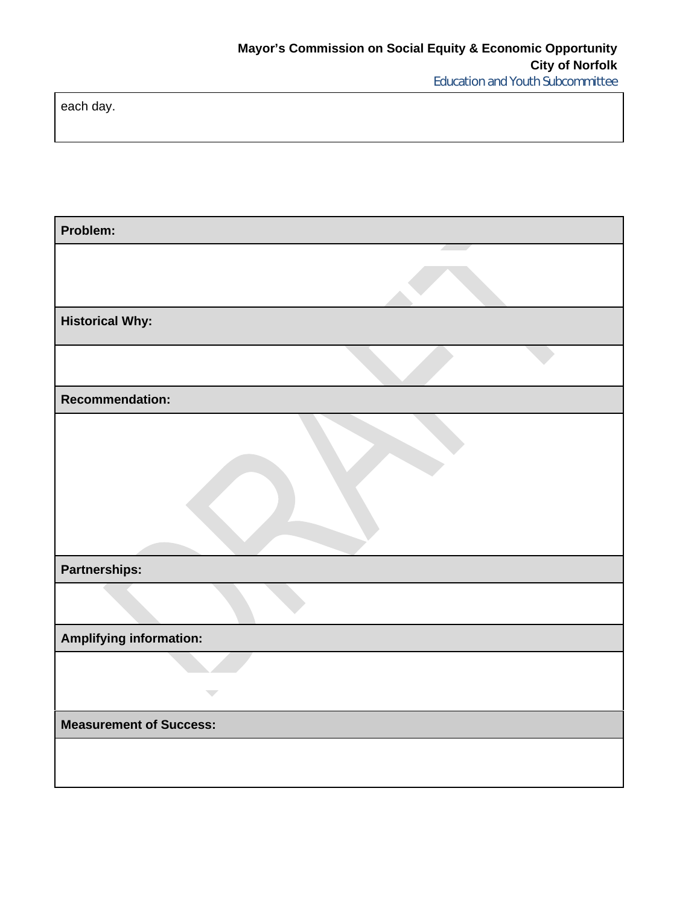Education and Youth Subcommittee

each day.

| Problem:                       |
|--------------------------------|
|                                |
| <b>Historical Why:</b>         |
|                                |
| <b>Recommendation:</b>         |
|                                |
| Partnerships:                  |
|                                |
| <b>Amplifying information:</b> |
|                                |
| $\overline{\phantom{a}}$       |
| <b>Measurement of Success:</b> |
|                                |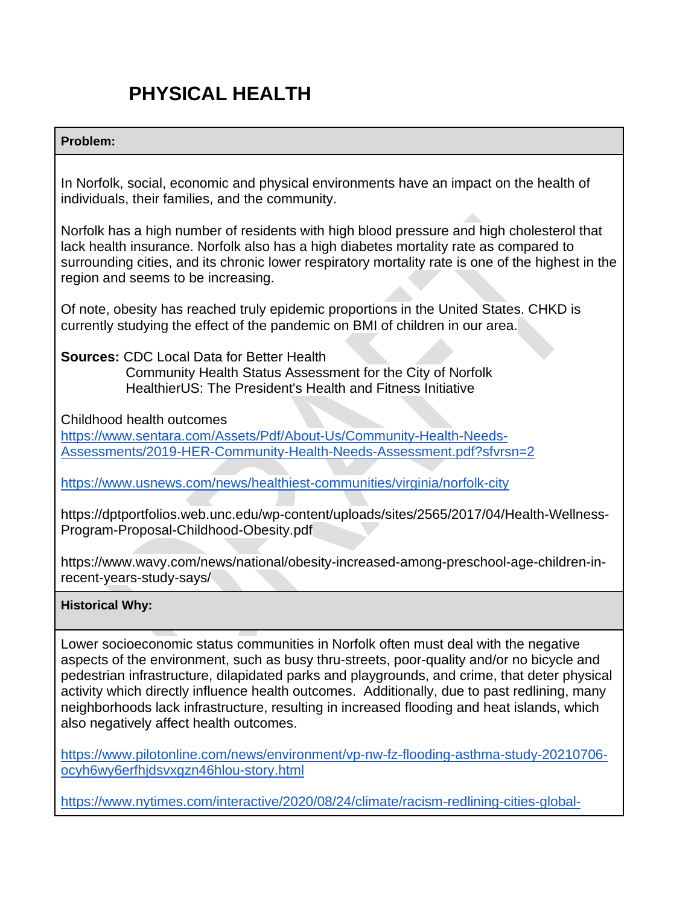# **PHYSICAL HEALTH**

## **Problem:**

In Norfolk, social, economic and physical environments have an impact on the health of individuals, their families, and the community.

Norfolk has a high number of residents with high blood pressure and high cholesterol that lack health insurance. Norfolk also has a high diabetes mortality rate as compared to surrounding cities, and its chronic lower respiratory mortality rate is one of the highest in the region and seems to be increasing.

Of note, obesity has reached truly epidemic proportions in the United States. CHKD is currently studying the effect of the pandemic on BMI of children in our area.

**Sources:** CDC Local Data for Better Health

 Community Health Status Assessment for the City of Norfolk HealthierUS: The President's Health and Fitness Initiative

Childhood health outcomes

https://www.sentara.com/Assets/Pdf/About-Us/Community-Health-Needs-Assessments/2019-HER-Community-Health-Needs-Assessment.pdf?sfvrsn=2

https://www.usnews.com/news/healthiest-communities/virginia/norfolk-city

https://dptportfolios.web.unc.edu/wp-content/uploads/sites/2565/2017/04/Health-Wellness-Program-Proposal-Childhood-Obesity.pdf

https://www.wavy.com/news/national/obesity-increased-among-preschool-age-children-inrecent-years-study-says/

## **Historical Why:**

Lower socioeconomic status communities in Norfolk often must deal with the negative aspects of the environment, such as busy thru-streets, poor-quality and/or no bicycle and pedestrian infrastructure, dilapidated parks and playgrounds, and crime, that deter physical activity which directly influence health outcomes. Additionally, due to past redlining, many neighborhoods lack infrastructure, resulting in increased flooding and heat islands, which also negatively affect health outcomes.

https://www.pilotonline.com/news/environment/vp-nw-fz-flooding-asthma-study-20210706 ocyh6wy6erfhjdsvxgzn46hlou-story.html

https://www.nytimes.com/interactive/2020/08/24/climate/racism-redlining-cities-global-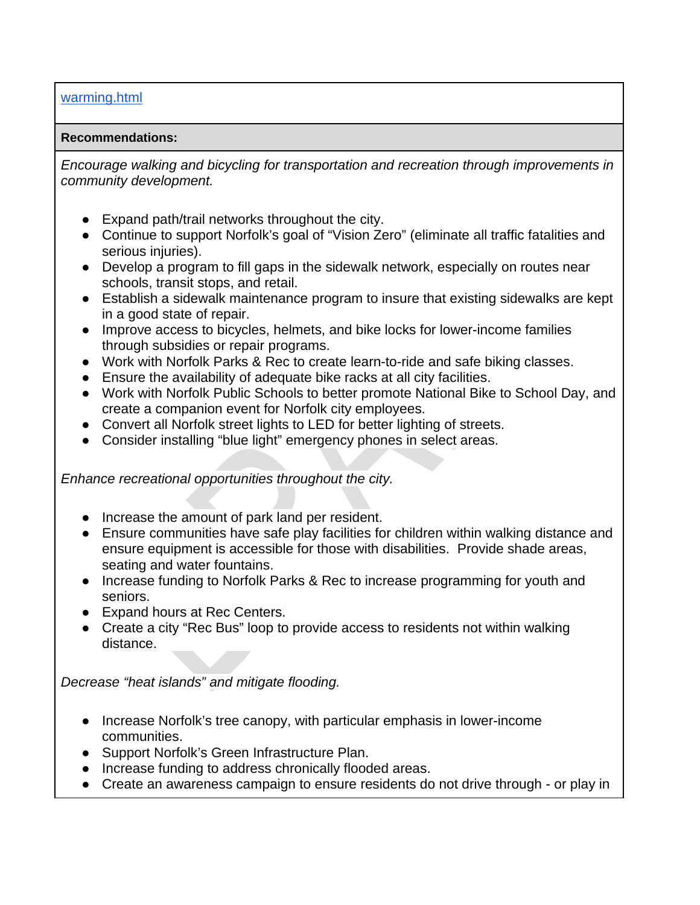## warming.html

### **Recommendations:**

*Encourage walking and bicycling for transportation and recreation through improvements in community development.*

- Expand path/trail networks throughout the city.
- Continue to support Norfolk's goal of "Vision Zero" (eliminate all traffic fatalities and serious injuries).
- Develop a program to fill gaps in the sidewalk network, especially on routes near schools, transit stops, and retail.
- Establish a sidewalk maintenance program to insure that existing sidewalks are kept in a good state of repair.
- Improve access to bicycles, helmets, and bike locks for lower-income families through subsidies or repair programs.
- Work with Norfolk Parks & Rec to create learn-to-ride and safe biking classes.
- Ensure the availability of adequate bike racks at all city facilities.
- Work with Norfolk Public Schools to better promote National Bike to School Day, and create a companion event for Norfolk city employees.
- Convert all Norfolk street lights to LED for better lighting of streets.
- Consider installing "blue light" emergency phones in select areas.

*Enhance recreational opportunities throughout the city.* 

- Increase the amount of park land per resident.
- Ensure communities have safe play facilities for children within walking distance and ensure equipment is accessible for those with disabilities. Provide shade areas, seating and water fountains.
- Increase funding to Norfolk Parks & Rec to increase programming for youth and seniors.
- Expand hours at Rec Centers.
- Create a city "Rec Bus" loop to provide access to residents not within walking distance.

*Decrease "heat islands" and mitigate flooding.* 

- Increase Norfolk's tree canopy, with particular emphasis in lower-income communities.
- Support Norfolk's Green Infrastructure Plan.
- Increase funding to address chronically flooded areas.
- Create an awareness campaign to ensure residents do not drive through or play in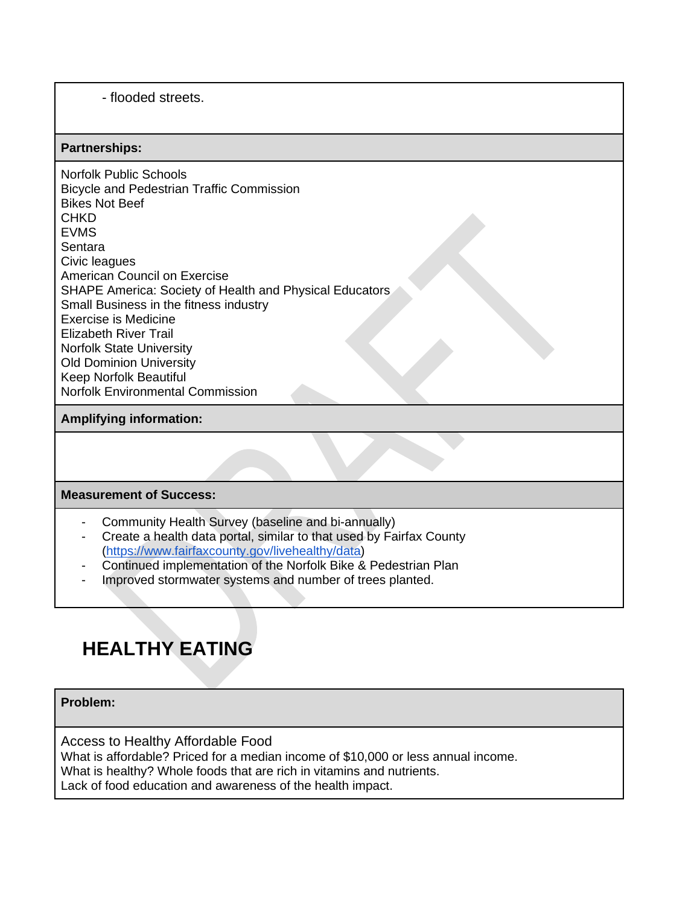- flooded streets.

#### **Partnerships:**

Norfolk Public Schools Bicycle and Pedestrian Traffic Commission Bikes Not Beef **CHKD** EVMS **Sentara** Civic leagues American Council on Exercise SHAPE America: Society of Health and Physical Educators Small Business in the fitness industry Exercise is Medicine Elizabeth River Trail Norfolk State University Old Dominion University Keep Norfolk Beautiful Norfolk Environmental Commission

### **Amplifying information:**

#### **Measurement of Success:**

- Community Health Survey (baseline and bi-annually)
- Create a health data portal, similar to that used by Fairfax County (https://www.fairfaxcounty.gov/livehealthy/data)
- Continued implementation of the Norfolk Bike & Pedestrian Plan
- Improved stormwater systems and number of trees planted.

# **HEALTHY EATING**

**Problem:** 

Access to Healthy Affordable Food

What is affordable? Priced for a median income of \$10,000 or less annual income.

What is healthy? Whole foods that are rich in vitamins and nutrients.

Lack of food education and awareness of the health impact.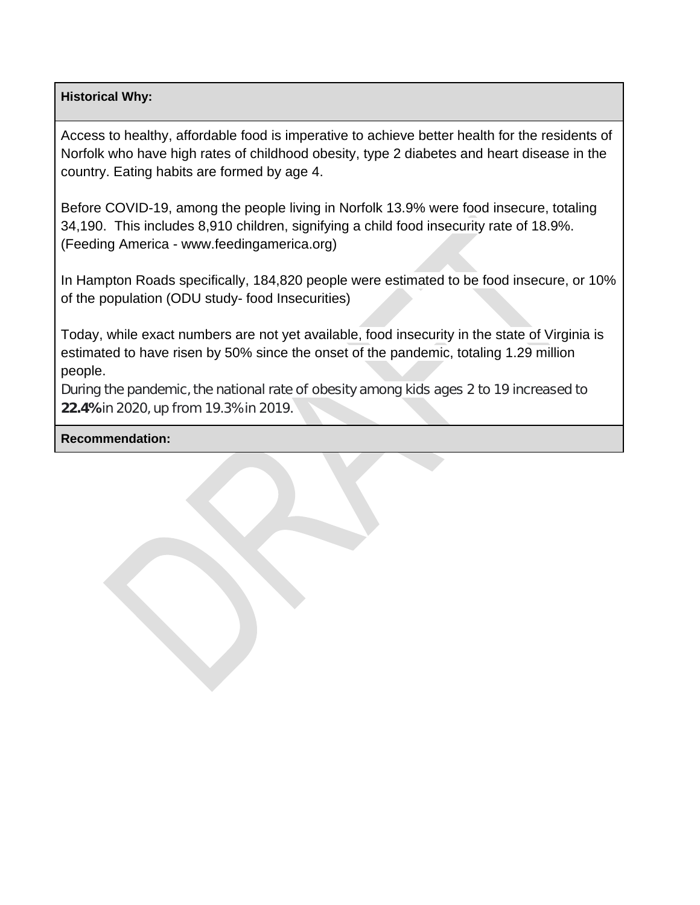## **Historical Why:**

Access to healthy, affordable food is imperative to achieve better health for the residents of Norfolk who have high rates of childhood obesity, type 2 diabetes and heart disease in the country. Eating habits are formed by age 4.

Before COVID-19, among the people living in Norfolk 13.9% were food insecure, totaling 34,190. This includes 8,910 children, signifying a child food insecurity rate of 18.9%. (Feeding America - www.feedingamerica.org)

In Hampton Roads specifically, 184,820 people were estimated to be food insecure, or 10% of the population (ODU study- food Insecurities)

Today, while exact numbers are not yet available, food insecurity in the state of Virginia is estimated to have risen by 50% since the onset of the pandemic, totaling 1.29 million people.

During the pandemic, the national rate of obesity among kids ages 2 to 19 increased to **22.4%** in 2020, up from 19.3% in 2019.

**Recommendation:**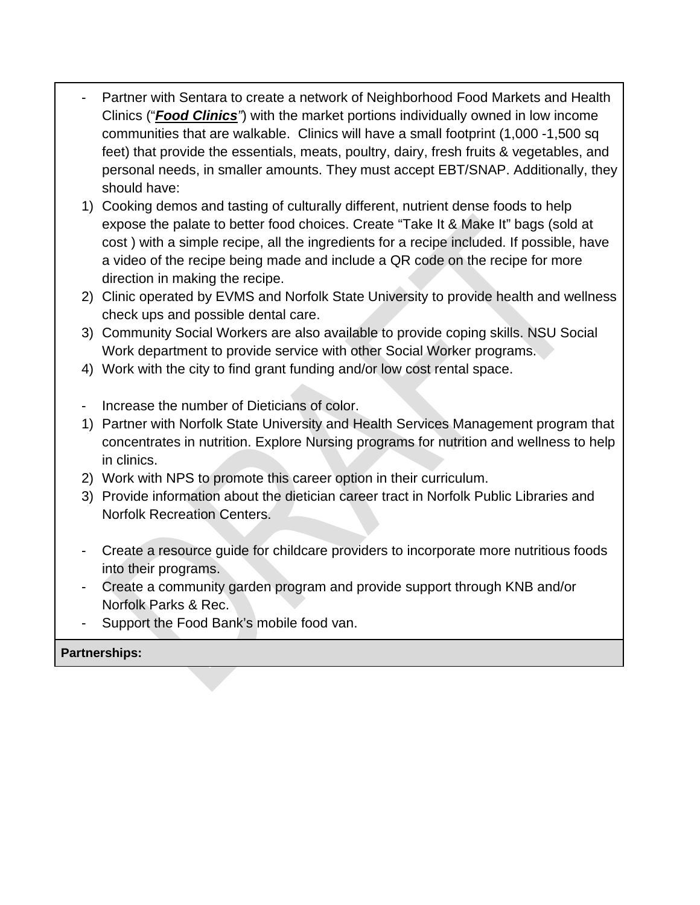- Partner with Sentara to create a network of Neighborhood Food Markets and Health Clinics ("*Food Clinics"*) with the market portions individually owned in low income communities that are walkable. Clinics will have a small footprint (1,000 -1,500 sq feet) that provide the essentials, meats, poultry, dairy, fresh fruits & vegetables, and personal needs, in smaller amounts. They must accept EBT/SNAP. Additionally, they should have:
- 1) Cooking demos and tasting of culturally different, nutrient dense foods to help expose the palate to better food choices. Create "Take It & Make It" bags (sold at cost ) with a simple recipe, all the ingredients for a recipe included. If possible, have a video of the recipe being made and include a QR code on the recipe for more direction in making the recipe.
- 2) Clinic operated by EVMS and Norfolk State University to provide health and wellness check ups and possible dental care.
- 3) Community Social Workers are also available to provide coping skills. NSU Social Work department to provide service with other Social Worker programs.
- 4) Work with the city to find grant funding and/or low cost rental space.
- Increase the number of Dieticians of color.
- 1) Partner with Norfolk State University and Health Services Management program that concentrates in nutrition. Explore Nursing programs for nutrition and wellness to help in clinics.
- 2) Work with NPS to promote this career option in their curriculum.
- 3) Provide information about the dietician career tract in Norfolk Public Libraries and Norfolk Recreation Centers.
- Create a resource guide for childcare providers to incorporate more nutritious foods into their programs.
- Create a community garden program and provide support through KNB and/or Norfolk Parks & Rec.
- Support the Food Bank's mobile food van.

## **Partnerships:**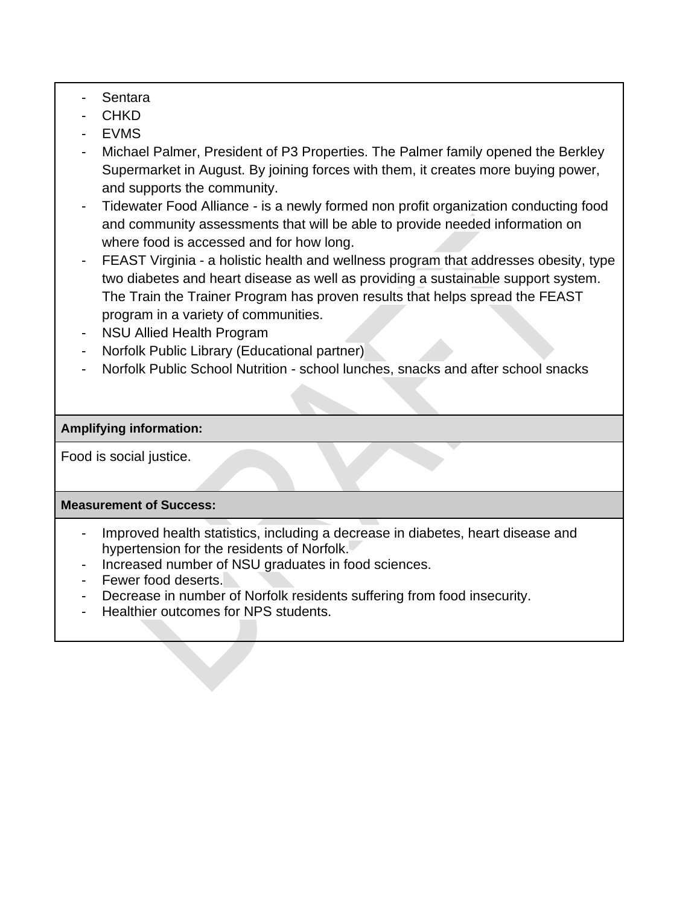- Sentara
- **CHKD**
- EVMS
- Michael Palmer, President of P3 Properties. The Palmer family opened the Berkley Supermarket in August. By joining forces with them, it creates more buying power, and supports the community.
- Tidewater Food Alliance is a newly formed non profit organization conducting food and community assessments that will be able to provide needed information on where food is accessed and for how long.
- FEAST Virginia a holistic health and wellness program that addresses obesity, type two diabetes and heart disease as well as providing a sustainable support system. The Train the Trainer Program has proven results that helps spread the FEAST program in a variety of communities.
- NSU Allied Health Program
- Norfolk Public Library (Educational partner)
- Norfolk Public School Nutrition school lunches, snacks and after school snacks

## **Amplifying information:**

Food is social justice.

## **Measurement of Success:**

- Improved health statistics, including a decrease in diabetes, heart disease and hypertension for the residents of Norfolk.
- Increased number of NSU graduates in food sciences.
- Fewer food deserts.
- Decrease in number of Norfolk residents suffering from food insecurity.
- Healthier outcomes for NPS students.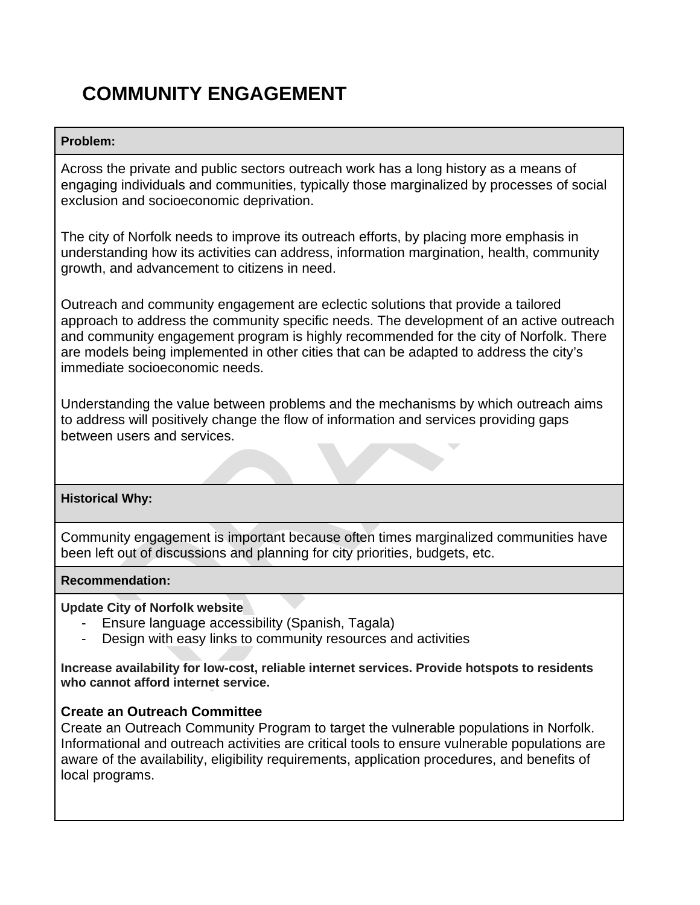# **COMMUNITY ENGAGEMENT**

## **Problem:**

Across the private and public sectors outreach work has a long history as a means of engaging individuals and communities, typically those marginalized by processes of social exclusion and socioeconomic deprivation.

The city of Norfolk needs to improve its outreach efforts, by placing more emphasis in understanding how its activities can address, information margination, health, community growth, and advancement to citizens in need.

Outreach and community engagement are eclectic solutions that provide a tailored approach to address the community specific needs. The development of an active outreach and community engagement program is highly recommended for the city of Norfolk. There are models being implemented in other cities that can be adapted to address the city's immediate socioeconomic needs.

Understanding the value between problems and the mechanisms by which outreach aims to address will positively change the flow of information and services providing gaps between users and services.

## **Historical Why:**

Community engagement is important because often times marginalized communities have been left out of discussions and planning for city priorities, budgets, etc.

## **Recommendation:**

**Update City of Norfolk website** 

- Ensure language accessibility (Spanish, Tagala)
- Design with easy links to community resources and activities

**Increase availability for low-cost, reliable internet services. Provide hotspots to residents who cannot afford internet service.** 

## **Create an Outreach Committee**

Create an Outreach Community Program to target the vulnerable populations in Norfolk. Informational and outreach activities are critical tools to ensure vulnerable populations are aware of the availability, eligibility requirements, application procedures, and benefits of local programs.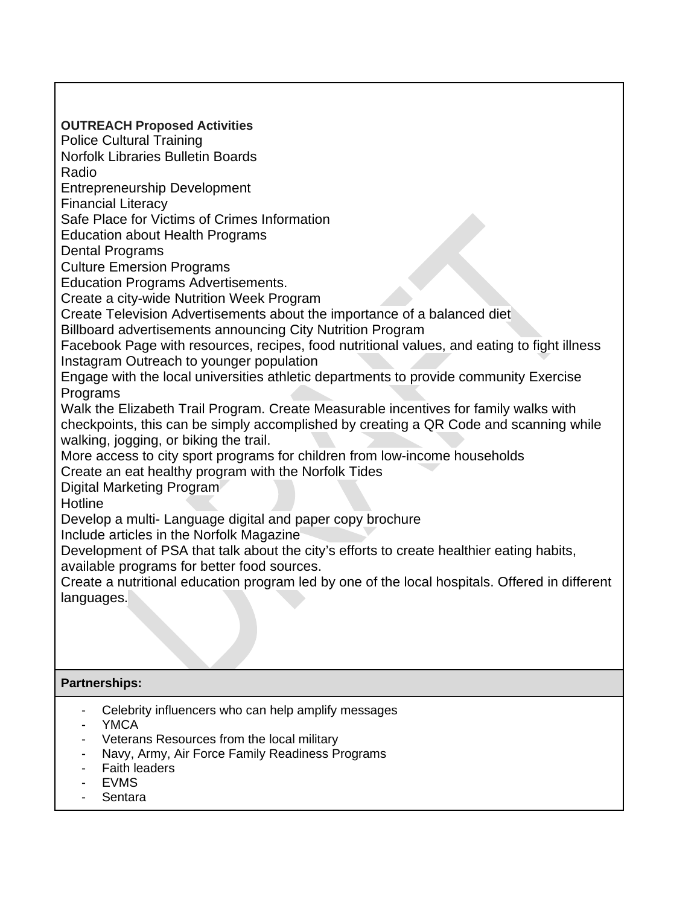**OUTREACH Proposed Activities**  Police Cultural Training Norfolk Libraries Bulletin Boards Radio Entrepreneurship Development Financial Literacy Safe Place for Victims of Crimes Information Education about Health Programs Dental Programs Culture Emersion Programs Education Programs Advertisements. Create a city-wide Nutrition Week Program Create Television Advertisements about the importance of a balanced diet Billboard advertisements announcing City Nutrition Program Facebook Page with resources, recipes, food nutritional values, and eating to fight illness Instagram Outreach to younger population Engage with the local universities athletic departments to provide community Exercise **Programs** Walk the Elizabeth Trail Program. Create Measurable incentives for family walks with checkpoints, this can be simply accomplished by creating a QR Code and scanning while walking, jogging, or biking the trail. More access to city sport programs for children from low-income households Create an eat healthy program with the Norfolk Tides Digital Marketing Program **Hotline** Develop a multi- Language digital and paper copy brochure Include articles in the Norfolk Magazine Development of PSA that talk about the city's efforts to create healthier eating habits, available programs for better food sources. Create a nutritional education program led by one of the local hospitals. Offered in different languages.

## **Partnerships:**

- Celebrity influencers who can help amplify messages
- YMCA
- Veterans Resources from the local military
- Navy, Army, Air Force Family Readiness Programs
- **Faith leaders**
- EVMS
- Sentara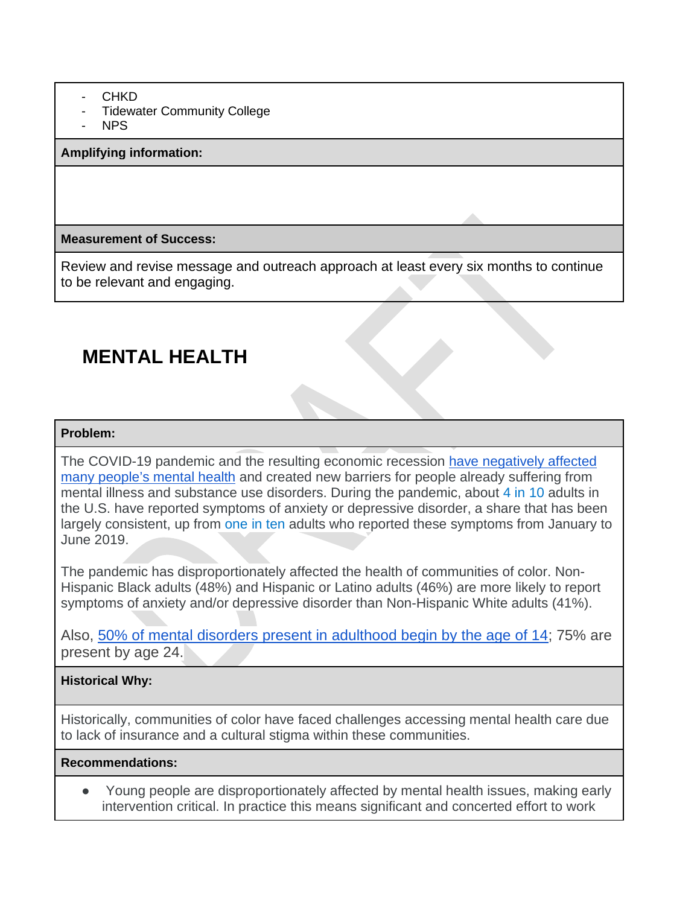- CHKD
- **Tidewater Community College**
- NPS

#### **Amplifying information:**

### **Measurement of Success:**

Review and revise message and outreach approach at least every six months to continue to be relevant and engaging.

## **MENTAL HEALTH**

#### **Problem:**

The COVID-19 pandemic and the resulting economic recession have negatively affected many people's mental health and created new barriers for people already suffering from mental illness and substance use disorders. During the pandemic, about 4 in 10 adults in the U.S. have reported symptoms of anxiety or depressive disorder, a share that has been largely consistent, up from one in ten adults who reported these symptoms from January to June 2019.

The pandemic has disproportionately affected the health of communities of color. Non-Hispanic Black adults (48%) and Hispanic or Latino adults (46%) are more likely to report symptoms of anxiety and/or depressive disorder than Non-Hispanic White adults (41%).

Also, 50% of mental disorders present in adulthood begin by the age of 14; 75% are present by age 24.

## **Historical Why:**

Historically, communities of color have faced challenges accessing mental health care due to lack of insurance and a cultural stigma within these communities.

## **Recommendations:**

Young people are disproportionately affected by mental health issues, making early intervention critical. In practice this means significant and concerted effort to work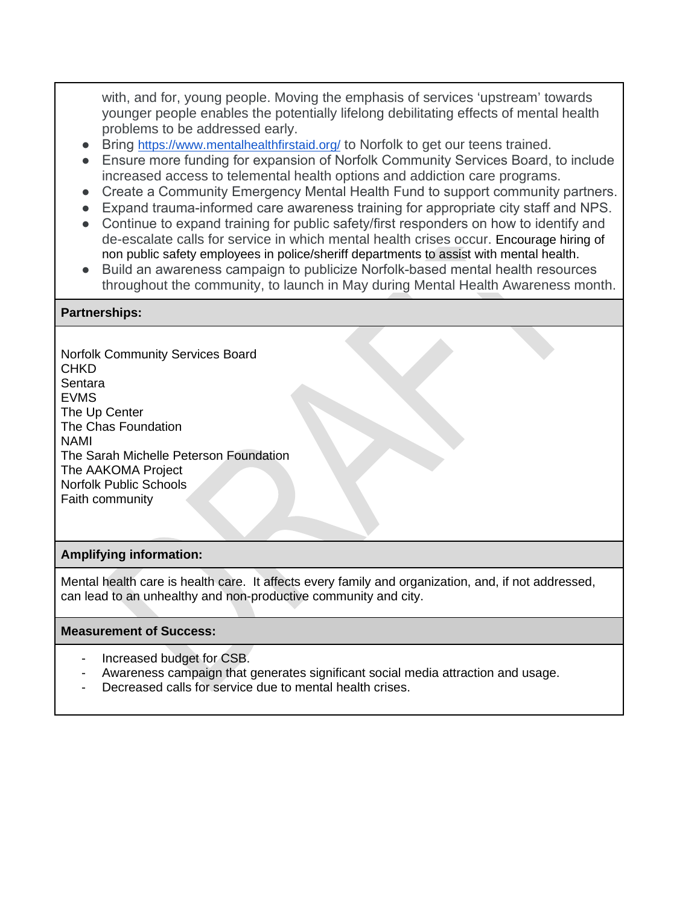with, and for, young people. Moving the emphasis of services 'upstream' towards younger people enables the potentially lifelong debilitating effects of mental health problems to be addressed early.

- Bring https://www.mentalhealthfirstaid.org/ to Norfolk to get our teens trained.
- Ensure more funding for expansion of Norfolk Community Services Board, to include increased access to telemental health options and addiction care programs.
- Create a Community Emergency Mental Health Fund to support community partners.
- Expand trauma-informed care awareness training for appropriate city staff and NPS.
- Continue to expand training for public safety/first responders on how to identify and de-escalate calls for service in which mental health crises occur. Encourage hiring of non public safety employees in police/sheriff departments to assist with mental health.
- Build an awareness campaign to publicize Norfolk-based mental health resources throughout the community, to launch in May during Mental Health Awareness month.

#### **Partnerships:**

Norfolk Community Services Board **CHKD** Sentara EVMS The Up Center The Chas Foundation NAMI The Sarah Michelle Peterson Foundation The AAKOMA Project Norfolk Public Schools Faith community

#### **Amplifying information:**

Mental health care is health care. It affects every family and organization, and, if not addressed, can lead to an unhealthy and non-productive community and city.

#### **Measurement of Success:**

- Increased budget for CSB.
- Awareness campaign that generates significant social media attraction and usage.
- Decreased calls for service due to mental health crises.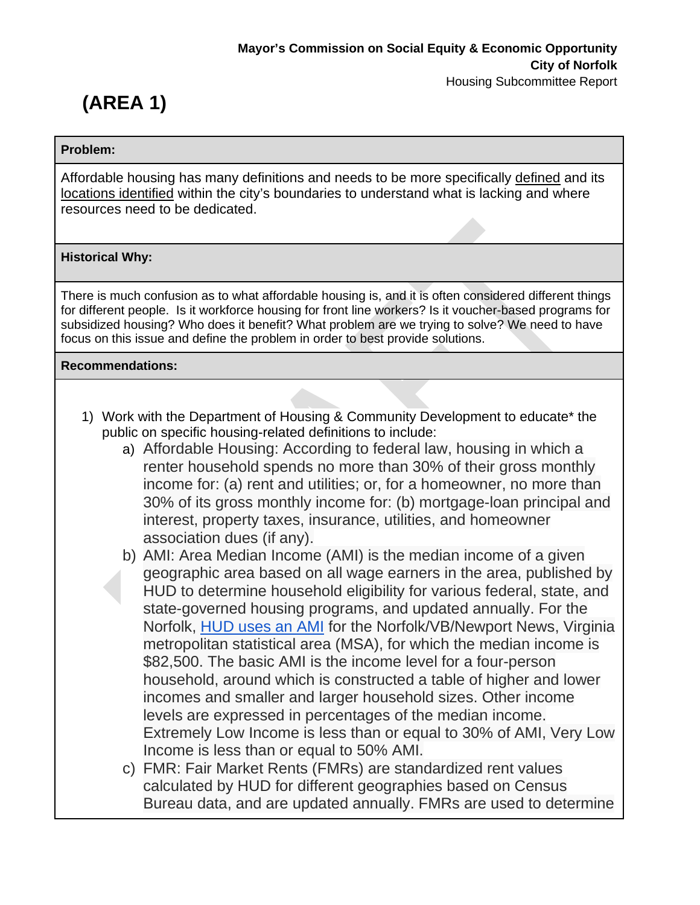# **(AREA 1)**

### **Problem:**

Affordable housing has many definitions and needs to be more specifically defined and its locations identified within the city's boundaries to understand what is lacking and where resources need to be dedicated.

## **Historical Why:**

There is much confusion as to what affordable housing is, and it is often considered different things for different people. Is it workforce housing for front line workers? Is it voucher-based programs for subsidized housing? Who does it benefit? What problem are we trying to solve? We need to have focus on this issue and define the problem in order to best provide solutions.

## **Recommendations:**

- 1) Work with the Department of Housing & Community Development to educate\* the public on specific housing-related definitions to include:
	- a) Affordable Housing: According to federal law, housing in which a renter household spends no more than 30% of their gross monthly income for: (a) rent and utilities; or, for a homeowner, no more than 30% of its gross monthly income for: (b) mortgage-loan principal and interest, property taxes, insurance, utilities, and homeowner association dues (if any).
	- b) AMI: Area Median Income (AMI) is the median income of a given geographic area based on all wage earners in the area, published by HUD to determine household eligibility for various federal, state, and state-governed housing programs, and updated annually. For the Norfolk, HUD uses an AMI for the Norfolk/VB/Newport News, Virginia metropolitan statistical area (MSA), for which the median income is \$82,500. The basic AMI is the income level for a four-person household, around which is constructed a table of higher and lower incomes and smaller and larger household sizes. Other income levels are expressed in percentages of the median income. Extremely Low Income is less than or equal to 30% of AMI, Very Low Income is less than or equal to 50% AMI.
	- c) FMR: Fair Market Rents (FMRs) are standardized rent values calculated by HUD for different geographies based on Census Bureau data, and are updated annually. FMRs are used to determine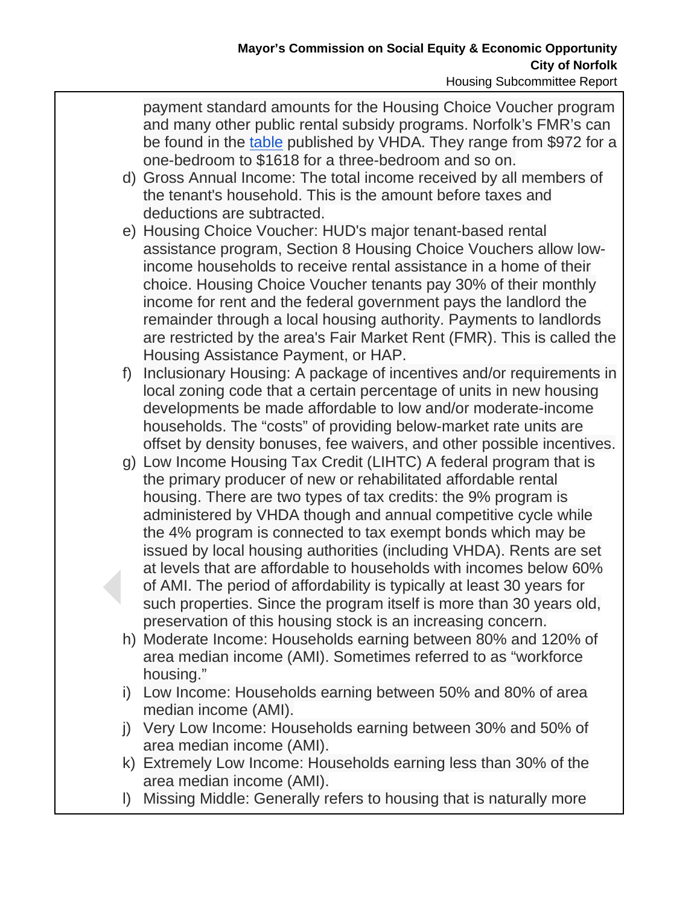payment standard amounts for the Housing Choice Voucher program and many other public rental subsidy programs. Norfolk's FMR's can be found in the table published by VHDA. They range from \$972 for a one-bedroom to \$1618 for a three-bedroom and so on.

- d) Gross Annual Income: The total income received by all members of the tenant's household. This is the amount before taxes and deductions are subtracted.
- e) Housing Choice Voucher: HUD's major tenant-based rental assistance program, Section 8 Housing Choice Vouchers allow lowincome households to receive rental assistance in a home of their choice. Housing Choice Voucher tenants pay 30% of their monthly income for rent and the federal government pays the landlord the remainder through a local housing authority. Payments to landlords are restricted by the area's Fair Market Rent (FMR). This is called the Housing Assistance Payment, or HAP.
- f) Inclusionary Housing: A package of incentives and/or requirements in local zoning code that a certain percentage of units in new housing developments be made affordable to low and/or moderate-income households. The "costs" of providing below-market rate units are offset by density bonuses, fee waivers, and other possible incentives.
- g) Low Income Housing Tax Credit (LIHTC) A federal program that is the primary producer of new or rehabilitated affordable rental housing. There are two types of tax credits: the 9% program is administered by VHDA though and annual competitive cycle while the 4% program is connected to tax exempt bonds which may be issued by local housing authorities (including VHDA). Rents are set at levels that are affordable to households with incomes below 60% of AMI. The period of affordability is typically at least 30 years for such properties. Since the program itself is more than 30 years old, preservation of this housing stock is an increasing concern.
- h) Moderate Income: Households earning between 80% and 120% of area median income (AMI). Sometimes referred to as "workforce housing."
- i) Low Income: Households earning between 50% and 80% of area median income (AMI).
- j) Very Low Income: Households earning between 30% and 50% of area median income (AMI).
- k) Extremely Low Income: Households earning less than 30% of the area median income (AMI).
- l) Missing Middle: Generally refers to housing that is naturally more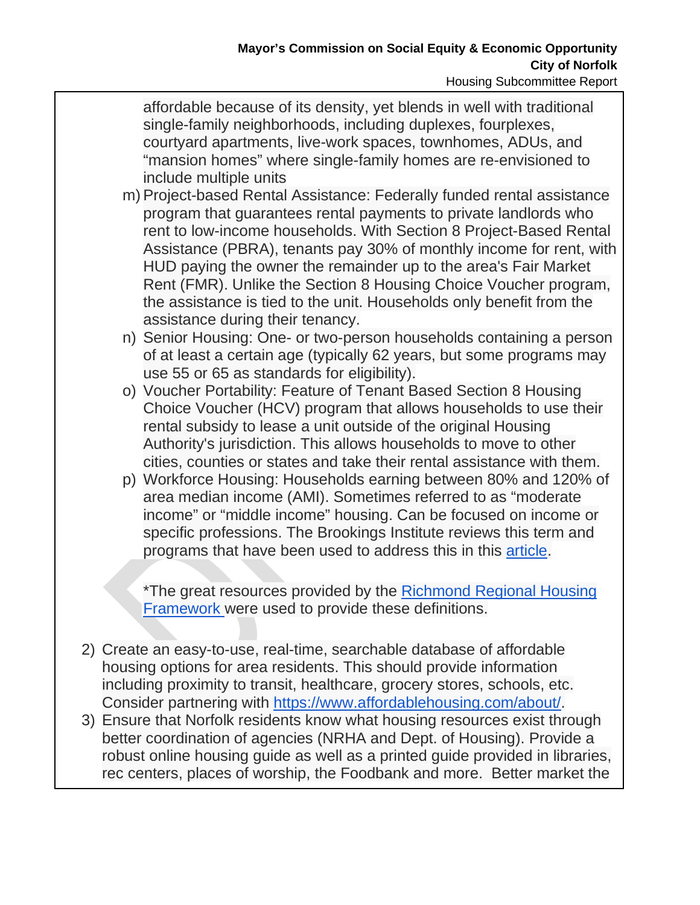affordable because of its density, yet blends in well with traditional single-family neighborhoods, including duplexes, fourplexes, courtyard apartments, live-work spaces, townhomes, ADUs, and "mansion homes" where single-family homes are re-envisioned to include multiple units

- m) Project-based Rental Assistance: Federally funded rental assistance program that guarantees rental payments to private landlords who rent to low-income households. With Section 8 Project-Based Rental Assistance (PBRA), tenants pay 30% of monthly income for rent, with HUD paying the owner the remainder up to the area's Fair Market Rent (FMR). Unlike the Section 8 Housing Choice Voucher program, the assistance is tied to the unit. Households only benefit from the assistance during their tenancy.
- n) Senior Housing: One- or two-person households containing a person of at least a certain age (typically 62 years, but some programs may use 55 or 65 as standards for eligibility).
- o) Voucher Portability: Feature of Tenant Based Section 8 Housing Choice Voucher (HCV) program that allows households to use their rental subsidy to lease a unit outside of the original Housing Authority's jurisdiction. This allows households to move to other cities, counties or states and take their rental assistance with them.
- p) Workforce Housing: Households earning between 80% and 120% of area median income (AMI). Sometimes referred to as "moderate income" or "middle income" housing. Can be focused on income or specific professions. The Brookings Institute reviews this term and programs that have been used to address this in this article.

\*The great resources provided by the Richmond Regional Housing Framework were used to provide these definitions.

- 2) Create an easy-to-use, real-time, searchable database of affordable housing options for area residents. This should provide information including proximity to transit, healthcare, grocery stores, schools, etc. Consider partnering with https://www.affordablehousing.com/about/.
- 3) Ensure that Norfolk residents know what housing resources exist through better coordination of agencies (NRHA and Dept. of Housing). Provide a robust online housing guide as well as a printed guide provided in libraries, rec centers, places of worship, the Foodbank and more. Better market the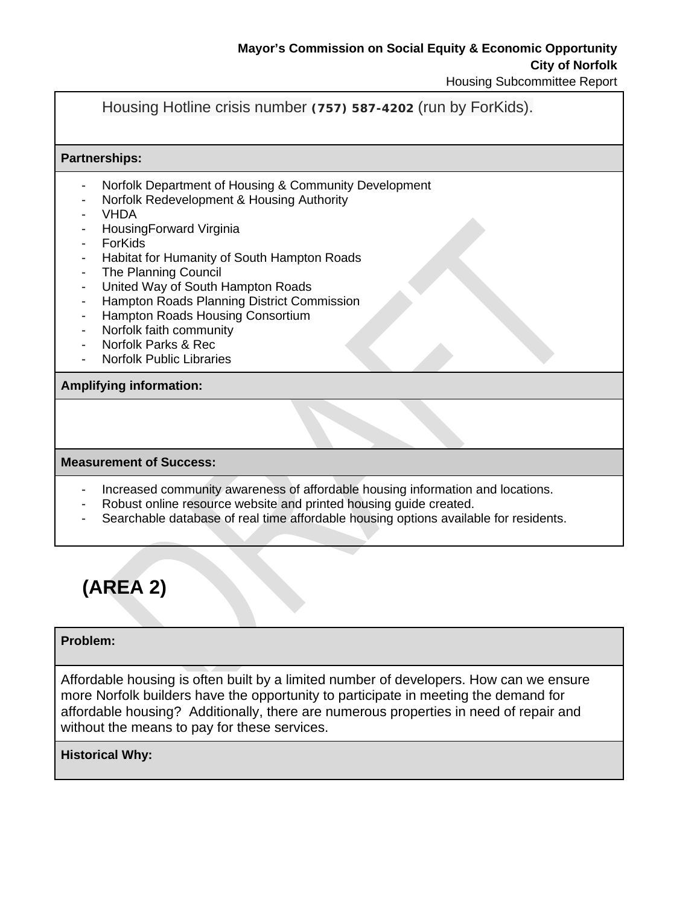## Housing Hotline crisis number **(757) 587-4202** (run by ForKids).

#### **Partnerships:**

- Norfolk Department of Housing & Community Development
- Norfolk Redevelopment & Housing Authority
- VHDA
- HousingForward Virginia
- **ForKids**
- Habitat for Humanity of South Hampton Roads
- The Planning Council
- United Way of South Hampton Roads
- Hampton Roads Planning District Commission
- Hampton Roads Housing Consortium
- Norfolk faith community
- Norfolk Parks & Rec
- **Norfolk Public Libraries**

#### **Amplifying information:**

#### **Measurement of Success:**

- Increased community awareness of affordable housing information and locations.
- Robust online resource website and printed housing guide created.
- Searchable database of real time affordable housing options available for residents.



### **Problem:**

Affordable housing is often built by a limited number of developers. How can we ensure more Norfolk builders have the opportunity to participate in meeting the demand for affordable housing? Additionally, there are numerous properties in need of repair and without the means to pay for these services.

#### **Historical Why:**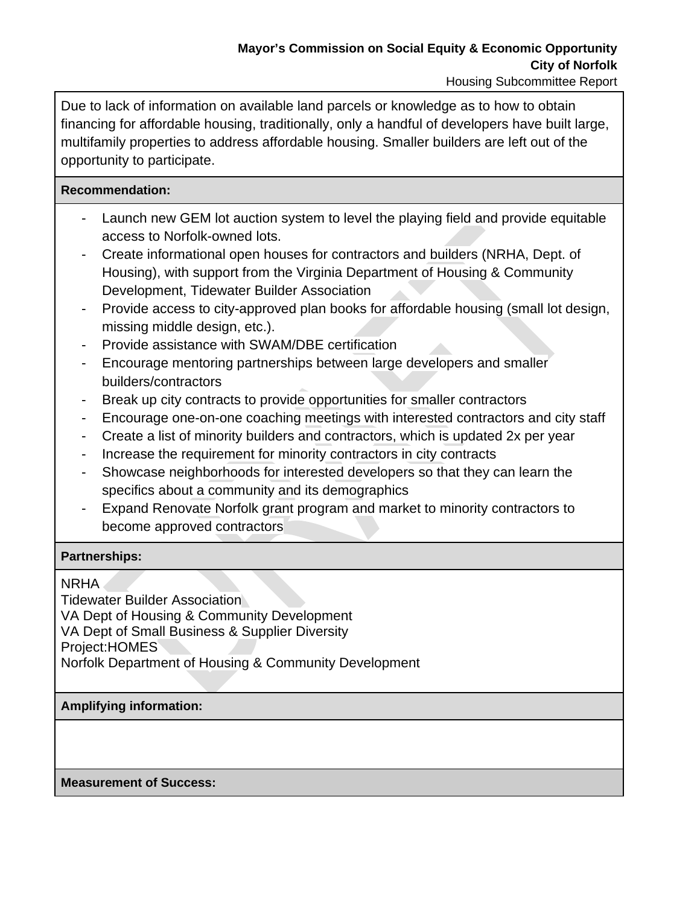Due to lack of information on available land parcels or knowledge as to how to obtain financing for affordable housing, traditionally, only a handful of developers have built large, multifamily properties to address affordable housing. Smaller builders are left out of the opportunity to participate.

## **Recommendation:**

- Launch new GEM lot auction system to level the playing field and provide equitable access to Norfolk-owned lots.
- Create informational open houses for contractors and builders (NRHA, Dept. of Housing), with support from the Virginia Department of Housing & Community Development, Tidewater Builder Association
- Provide access to city-approved plan books for affordable housing (small lot design, missing middle design, etc.).
- Provide assistance with SWAM/DBE certification
- Encourage mentoring partnerships between large developers and smaller builders/contractors
- Break up city contracts to provide opportunities for smaller contractors
- Encourage one-on-one coaching meetings with interested contractors and city staff
- Create a list of minority builders and contractors, which is updated 2x per year
- Increase the requirement for minority contractors in city contracts
- Showcase neighborhoods for interested developers so that they can learn the specifics about a community and its demographics
- Expand Renovate Norfolk grant program and market to minority contractors to become approved contractors

## **Partnerships:**

NRHA

Tidewater Builder Association VA Dept of Housing & Community Development VA Dept of Small Business & Supplier Diversity Project:HOMES Norfolk Department of Housing & Community Development

## **Amplifying information:**

**Measurement of Success:**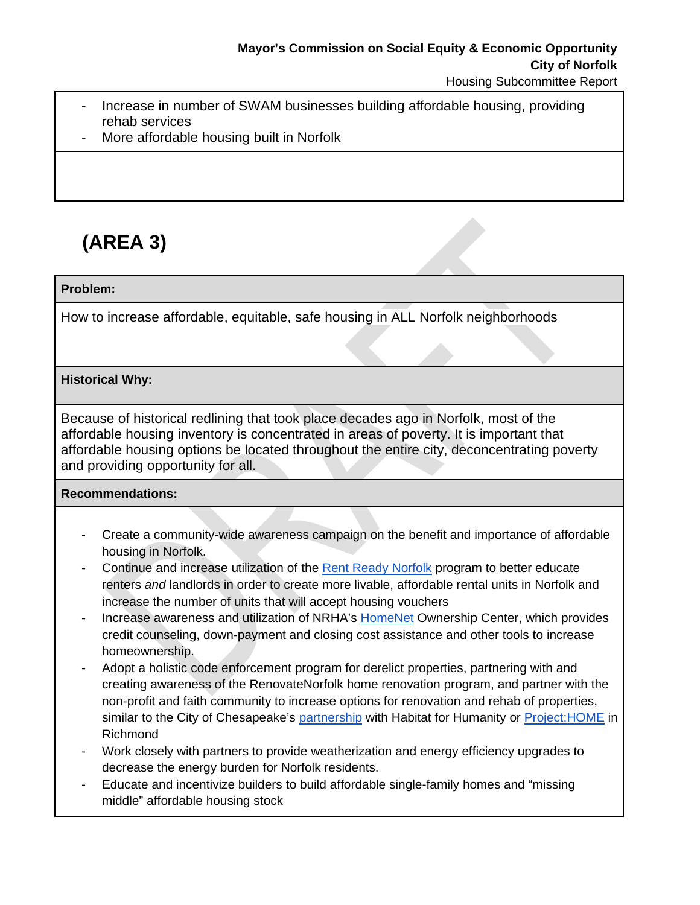- Increase in number of SWAM businesses building affordable housing, providing rehab services
- More affordable housing built in Norfolk

# **(AREA 3)**

## **Problem:**

How to increase affordable, equitable, safe housing in ALL Norfolk neighborhoods

## **Historical Why:**

Because of historical redlining that took place decades ago in Norfolk, most of the affordable housing inventory is concentrated in areas of poverty. It is important that affordable housing options be located throughout the entire city, deconcentrating poverty and providing opportunity for all.

## **Recommendations:**

- Create a community-wide awareness campaign on the benefit and importance of affordable housing in Norfolk.
- Continue and increase utilization of the Rent Ready Norfolk program to better educate renters *and* landlords in order to create more livable, affordable rental units in Norfolk and increase the number of units that will accept housing vouchers
- Increase awareness and utilization of NRHA's HomeNet Ownership Center, which provides credit counseling, down-payment and closing cost assistance and other tools to increase homeownership.
- Adopt a holistic code enforcement program for derelict properties, partnering with and creating awareness of the RenovateNorfolk home renovation program, and partner with the non-profit and faith community to increase options for renovation and rehab of properties, similar to the City of Chesapeake's partnership with Habitat for Humanity or Project: HOME in Richmond
- Work closely with partners to provide weatherization and energy efficiency upgrades to decrease the energy burden for Norfolk residents.
- Educate and incentivize builders to build affordable single-family homes and "missing middle" affordable housing stock